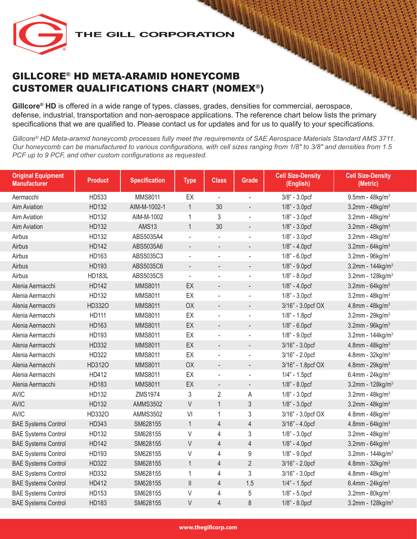# GILLCORE® HD META-ARAMID HONEYCOMB CUSTOMER QUALIFICATIONS CHART (NOMEX®)

**Gillcore® HD** is offered in a wide range of types, classes, grades, densities for commercial, aerospace, defense, industrial, transportation and non-aerospace applications. The reference chart below lists the primary specifications that we are qualified to. Please contact us for updates and for us to qualify to your specifications.

*Gillcore® HD Meta-aramid honeycomb processes fully meet the requirements of SAE Aerospace Materials Standard AMS 3711. Our honeycomb can be manufactured to various configurations, with cell sizes ranging from 1/8" to 3/8" and densities from 1.5 PCF up to 9 PCF, and other custom configurations as requested.*

| <b>Original Equipment</b><br><b>Manufacturer</b> | <b>Product</b> | <b>Specification</b> | <b>Type</b>              | <b>Class</b>             | <b>Grade</b>                 | <b>Cell Size-Density</b><br>(English) | <b>Cell Size-Density</b><br>(Metric) |
|--------------------------------------------------|----------------|----------------------|--------------------------|--------------------------|------------------------------|---------------------------------------|--------------------------------------|
| Aermacchi                                        | HD533          | <b>MMS8011</b>       | EX                       | $\overline{\phantom{a}}$ | ä,                           | 3/8" - 3.0pcf                         | $9.5$ mm - 48kg/m <sup>3</sup>       |
| <b>Aim Aviation</b>                              | HD132          | AIM-M-1002-1         | $\mathbf{1}$             | 30                       | $\qquad \qquad \blacksquare$ | $1/8" - 3.0prf$                       | 3.2mm - $48$ kg/m <sup>3</sup>       |
| <b>Aim Aviation</b>                              | HD132          | AIM-M-1002           | 1                        | 3                        | ÷,                           | $1/8" - 3.0prf$                       | $3.2$ mm - $48$ kg/m <sup>3</sup>    |
| <b>Aim Aviation</b>                              | HD132          | AMS13                | $\mathbf{1}$             | 30                       | $\overline{a}$               | $1/8" - 3.0prf$                       | $3.2$ mm - $48$ kg/m <sup>3</sup>    |
| Airbus                                           | HD132          | ABS5035A4            | $\overline{a}$           | $\overline{a}$           | $\overline{a}$               | 1/8" - 3.0pcf                         | $3.2$ mm - $48$ kg/m <sup>3</sup>    |
| Airbus                                           | <b>HD142</b>   | ABS5035A6            | $\overline{\phantom{a}}$ | $\overline{a}$           | $\overline{a}$               | 1/8" - 4.0pcf                         | $3.2$ mm - $64$ kg/m <sup>3</sup>    |
| Airbus                                           | HD163          | ABS5035C3            |                          | ÷,                       | ÷,                           | $1/8" - 6.0prf$                       | $3.2$ mm - $96$ kg/m <sup>3</sup>    |
| Airbus                                           | HD193          | ABS5035C6            | $\overline{\phantom{a}}$ | $\overline{\phantom{a}}$ | $\overline{a}$               | 1/8" - 9.0pcf                         | 3.2mm - $144$ kg/m <sup>3</sup>      |
| Airbus                                           | <b>HD183L</b>  | ABS5035C5            | $\equiv$                 | $\overline{a}$           | ÷,                           | $1/8" - 8.0prf$                       | 3.2mm - $128$ kg/m <sup>3</sup>      |
| Alenia Aermacchi                                 | <b>HD142</b>   | <b>MMS8011</b>       | EX                       | $\overline{\phantom{a}}$ | $\overline{a}$               | $1/8" - 4.0prf$                       | $3.2$ mm - $64$ kg/m <sup>3</sup>    |
| Alenia Aermacchi                                 | HD132          | <b>MMS8011</b>       | EX                       | $\overline{a}$           | $\overline{a}$               | 1/8" - 3.0pcf                         | $3.2$ mm - $48$ kg/m <sup>3</sup>    |
| Alenia Aermacchi                                 | HD332O         | <b>MMS8011</b>       | OX                       | $\overline{\phantom{a}}$ | $\overline{a}$               | 3/16" - 3.0pcf OX                     | 4.8mm - $48kg/m3$                    |
| Alenia Aermacchi                                 | <b>HD111</b>   | MMS8011              | EX                       | ä,                       | L,                           | 1/8" - 1.8pcf                         | 3.2mm - $29$ kg/m <sup>3</sup>       |
| Alenia Aermacchi                                 | HD163          | <b>MMS8011</b>       | EX                       | $\overline{\phantom{a}}$ | $\qquad \qquad \blacksquare$ | $1/8" - 6.0pt$                        | $3.2$ mm - $96$ kg/m <sup>3</sup>    |
| Alenia Aermacchi                                 | HD193          | MMS8011              | EX                       | $\overline{a}$           | ÷,                           | $1/8" - 9.0pt$                        | 3.2mm - $144$ kg/m <sup>3</sup>      |
| Alenia Aermacchi                                 | HD332          | <b>MMS8011</b>       | EX                       | $\overline{\phantom{a}}$ | $\overline{a}$               | 3/16" - 3.0pcf                        | $4.8$ mm - $48$ kg/m <sup>3</sup>    |
| Alenia Aermacchi                                 | HD322          | <b>MMS8011</b>       | EX                       | $\overline{a}$           | $\overline{a}$               | 3/16" - 2.0pcf                        | $4.8$ mm - $32$ kg/m <sup>3</sup>    |
| Alenia Aermacchi                                 | HD312O         | <b>MMS8011</b>       | OX                       | $\overline{\phantom{a}}$ | $\qquad \qquad \blacksquare$ | 3/16" - 1.8pcf OX                     | 4.8mm - $29kg/m^3$                   |
| Alenia Aermacchi                                 | HD412          | MMS8011              | EX                       | $\Box$                   | $\blacksquare$               | $1/4" - 1.5pcf$                       | 6.4mm - $24$ kg/m <sup>3</sup>       |
| Alenia Aermacchi                                 | HD183          | <b>MMS8011</b>       | EX                       | $\blacksquare$           | $\overline{a}$               | 1/8" - 8.0pcf                         | 3.2mm - $128$ kg/m <sup>3</sup>      |
| <b>AVIC</b>                                      | HD132          | ZMS1974              | 3                        | $\overline{2}$           | Α                            | $1/8" - 3.0prf$                       | 3.2mm - $48$ kg/m <sup>3</sup>       |
| <b>AVIC</b>                                      | HD132          | <b>AMMS3502</b>      | $\vee$                   | $\mathbf{1}$             | $\mathfrak{Z}$               | 1/8" - 3.0pcf                         | 3.2mm - $48$ kg/m <sup>3</sup>       |
| <b>AVIC</b>                                      | HD332O         | <b>AMMS3502</b>      | VI                       | $\mathbf{1}$             | 3                            | 3/16" - 3.0pcf OX                     | $4.8$ mm - $48$ kg/m <sup>3</sup>    |
| <b>BAE Systems Control</b>                       | HD343          | SM628155             | $\mathbf{1}$             | $\overline{4}$           | $\overline{4}$               | 3/16" - 4.0pcf                        | 4.8mm - $64$ kg/m <sup>3</sup>       |
| <b>BAE Systems Control</b>                       | HD132          | SM628155             | V                        | $\overline{4}$           | 3                            | $1/8" - 3.0prf$                       | $3.2$ mm - $48$ kg/m <sup>3</sup>    |
| <b>BAE Systems Control</b>                       | <b>HD142</b>   | SM628155             | V                        | $\overline{4}$           | $\overline{4}$               | $1/8" - 4.0prf$                       | 3.2mm - $64$ kg/m <sup>3</sup>       |
| <b>BAE Systems Control</b>                       | HD193          | SM628155             | V                        | $\overline{4}$           | $\boldsymbol{9}$             | 1/8" - 9.0pcf                         | 3.2mm - $144$ kg/m <sup>3</sup>      |
| <b>BAE Systems Control</b>                       | HD322          | SM628155             | $\mathbf{1}$             | $\overline{4}$           | $\overline{2}$               | 3/16" - 2.0pcf                        | 4.8mm - $32$ kg/m <sup>3</sup>       |
| <b>BAE Systems Control</b>                       | HD332          | SM628155             | 1                        | $\overline{4}$           | 3                            | 3/16" - 3.0pcf                        | $4.8$ mm - $48$ kg/m <sup>3</sup>    |
| <b>BAE Systems Control</b>                       | HD412          | SM628155             | $\vert\vert$             | $\overline{4}$           | 1.5                          | 1/4" - 1.5pcf                         | 6.4mm - $24$ kg/m <sup>3</sup>       |
| <b>BAE Systems Control</b>                       | HD153          | SM628155             | V                        | $\overline{4}$           | 5                            | $1/8" - 5.0prf$                       | $3.2$ mm - $80$ kg/m <sup>3</sup>    |
| <b>BAE Systems Control</b>                       | HD183          | SM628155             | V                        | $\overline{4}$           | $\,8\,$                      | 1/8" - 8.0pcf                         | 3.2mm - $128$ kg/m <sup>3</sup>      |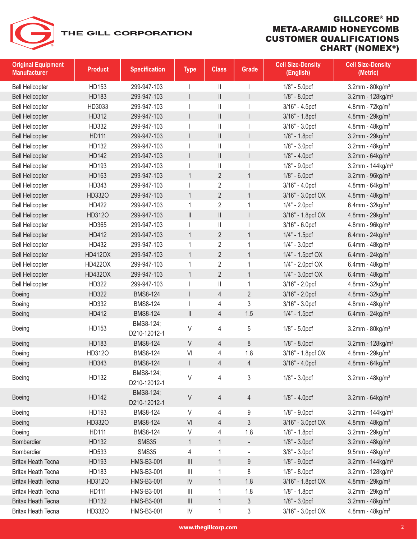| <b>Original Equipment</b><br><b>Manufacturer</b> | <b>Product</b> | <b>Specification</b>      | <b>Type</b>                                   | <b>Class</b>                                                              | Grade                    | <b>Cell Size-Density</b><br>(English) | <b>Cell Size-Density</b><br>(Metric) |
|--------------------------------------------------|----------------|---------------------------|-----------------------------------------------|---------------------------------------------------------------------------|--------------------------|---------------------------------------|--------------------------------------|
| <b>Bell Helicopter</b>                           | HD153          | 299-947-103               |                                               | Ш                                                                         |                          | $1/8$ " - $5.0pcf$                    | $3.2$ mm - $80$ kg/m <sup>3</sup>    |
| <b>Bell Helicopter</b>                           | HD183          | 299-947-103               |                                               | $\vert\vert$                                                              | $\mathsf{I}$             | 1/8" - 8.0pcf                         | 3.2mm - $128$ kg/m <sup>3</sup>      |
| <b>Bell Helicopter</b>                           | HD3033         | 299-947-103               |                                               | $\mid \mid$                                                               |                          | 3/16" - 4.5pcf                        | 4.8mm - $72$ kg/m <sup>3</sup>       |
| <b>Bell Helicopter</b>                           | HD312          | 299-947-103               |                                               | $\vert\vert$                                                              | $\mathsf{I}$             | 3/16" - 1.8pcf                        | $4.8$ mm - 29kg/m <sup>3</sup>       |
| <b>Bell Helicopter</b>                           | HD332          | 299-947-103               |                                               | $\mid \mid$                                                               |                          | 3/16" - 3.0pcf                        | $4.8$ mm - $48$ kg/m <sup>3</sup>    |
| <b>Bell Helicopter</b>                           | <b>HD111</b>   | 299-947-103               |                                               | $\vert\vert$                                                              | $\mathsf{I}$             | 1/8" - 1.8pcf                         | 3.2mm - $29kg/m3$                    |
| <b>Bell Helicopter</b>                           | HD132          | 299-947-103               |                                               | $\label{eq:1} \prod_{i=1}^n \left\{ \prod_{i=1}^n \frac{1}{n_i} \right\}$ |                          | $1/8$ " - $3.0pcf$                    | 3.2mm - $48$ kg/m <sup>3</sup>       |
| <b>Bell Helicopter</b>                           | <b>HD142</b>   | 299-947-103               |                                               | $\begin{array}{c} \hline \end{array}$                                     | $\mathsf{I}$             | $1/8$ " - $4.0pcf$                    | 3.2mm - $64$ kg/m <sup>3</sup>       |
| <b>Bell Helicopter</b>                           | HD193          | 299-947-103               |                                               | $\mathbf{  }$                                                             |                          | $1/8" - 9.0prf$                       | 3.2mm - $144$ kg/m <sup>3</sup>      |
| <b>Bell Helicopter</b>                           | HD163          | 299-947-103               | $\mathbf{1}$                                  | $\overline{2}$                                                            | $\mathbf{1}$             | $1/8$ " - $6.0$ pcf                   | $3.2$ mm - $96$ kg/m <sup>3</sup>    |
| <b>Bell Helicopter</b>                           | HD343          | 299-947-103               |                                               | $\overline{2}$                                                            |                          | 3/16" - 4.0pcf                        | 4.8mm - $64$ kg/m <sup>3</sup>       |
| <b>Bell Helicopter</b>                           | HD332O         | 299-947-103               | $\mathbf{1}$                                  | $\overline{2}$                                                            | $\mathbf{1}$             | 3/16" - 3.0pcf OX                     | 4.8mm - $48kg/m3$                    |
| <b>Bell Helicopter</b>                           | HD422          | 299-947-103               | 1                                             | 2                                                                         | $\mathbf{1}$             | $1/4" - 2.0prf$                       | 6.4mm - $32$ kg/m <sup>3</sup>       |
| <b>Bell Helicopter</b>                           | HD312O         | 299-947-103               | $\vert\vert$                                  | $\vert\vert$                                                              | $\mathsf{I}$             | 3/16" - 1.8pcf OX                     | $4.8$ mm - 29kg/m <sup>3</sup>       |
| <b>Bell Helicopter</b>                           | HD365          | 299-947-103               |                                               | $\mid \mid$                                                               |                          | 3/16" - 6.0pcf                        | $4.8$ mm - $96$ kg/m <sup>3</sup>    |
| <b>Bell Helicopter</b>                           | HD412          | 299-947-103               | $\mathbf{1}$                                  | $\overline{2}$                                                            | $\mathbf{1}$             | $1/4" - 1.5pcf$                       | 6.4mm - $24$ kg/m <sup>3</sup>       |
| <b>Bell Helicopter</b>                           | HD432          | 299-947-103               | 1                                             | 2                                                                         | $\mathbf{1}$             | $1/4" - 3.0prf$                       | 6.4mm - $48$ kg/m <sup>3</sup>       |
| <b>Bell Helicopter</b>                           | <b>HD412OX</b> | 299-947-103               | $\mathbf{1}$                                  | $\overline{2}$                                                            | $\mathbf{1}$             | 1/4" - 1.5pcf OX                      | 6.4mm - $24$ kg/m <sup>3</sup>       |
| <b>Bell Helicopter</b>                           | <b>HD422OX</b> | 299-947-103               | 1                                             | 2                                                                         | $\mathbf{1}$             | 1/4" - 2.0pcf OX                      | 6.4mm - $48$ kg/m <sup>3</sup>       |
| <b>Bell Helicopter</b>                           | <b>HD432OX</b> | 299-947-103               | $\mathbf{1}$                                  | $\overline{2}$                                                            | $\mathbf{1}$             | 1/4" - 3.0pcf OX                      | 6.4mm - $48$ kg/m <sup>3</sup>       |
| <b>Bell Helicopter</b>                           | HD322          | 299-947-103               |                                               | $\vert\vert$                                                              | $\mathbf{1}$             | 3/16" - 2.0pcf                        | $4.8$ mm - $32$ kg/m <sup>3</sup>    |
| Boeing                                           | HD322          | <b>BMS8-124</b>           |                                               | 4                                                                         | $\overline{2}$           | 3/16" - 2.0pcf                        | $4.8$ mm - $32$ kg/m <sup>3</sup>    |
| Boeing                                           | HD332          | <b>BMS8-124</b>           |                                               | 4                                                                         | 3                        | 3/16" - 3.0pcf                        | $4.8$ mm - $48$ kg/m <sup>3</sup>    |
| Boeing                                           | HD412          | <b>BMS8-124</b>           | $\vert\vert$                                  | 4                                                                         | 1.5                      | 1/4" - 1.5pcf                         | 6.4mm - $24$ kg/m <sup>3</sup>       |
| Boeing                                           | HD153          | BMS8-124;<br>D210-12012-1 | V                                             | 4                                                                         | 5                        | $1/8" - 5.0pt$                        | 3.2mm - $80$ kg/m <sup>3</sup>       |
| Boeing                                           | HD183          | <b>BMS8-124</b>           | $\vee$                                        | 4                                                                         | 8                        | 1/8" - 8.0pcf                         | 3.2mm - $128$ kg/m <sup>3</sup>      |
| Boeing                                           | HD312O         | <b>BMS8-124</b>           | VI                                            | 4                                                                         | 1.8                      | 3/16" - 1.8pcf OX                     | $4.8$ mm - 29kg/m <sup>3</sup>       |
| <b>Boeing</b>                                    | HD343          | <b>BMS8-124</b>           |                                               | 4                                                                         | 4                        | 3/16" - 4.0pcf                        | 4.8mm - $64$ kg/m <sup>3</sup>       |
| Boeing                                           | HD132          | BMS8-124;<br>D210-12012-1 | V                                             | 4                                                                         | 3                        | $1/8$ " - $3.0pcf$                    | 3.2mm - $48$ kg/m <sup>3</sup>       |
| <b>Boeing</b>                                    | <b>HD142</b>   | BMS8-124;<br>D210-12012-1 | V                                             | 4                                                                         | $\overline{4}$           | $1/8$ " - $4.0$ pcf                   | 3.2mm - $64$ kg/m <sup>3</sup>       |
| <b>Boeing</b>                                    | HD193          | <b>BMS8-124</b>           | V                                             | 4                                                                         | 9                        | 1/8" - 9.0pcf                         | 3.2mm - $144$ kg/m <sup>3</sup>      |
| Boeing                                           | HD332O         | <b>BMS8-124</b>           | VI                                            | 4                                                                         | 3                        | 3/16" - 3.0pcf OX                     | 4.8mm - $48$ kg/m <sup>3</sup>       |
| Boeing                                           | <b>HD111</b>   | <b>BMS8-124</b>           | V                                             | 4                                                                         | 1.8                      | 1/8" - 1.8pcf                         | 3.2mm - $29kg/m3$                    |
| Bombardier                                       | HD132          | <b>SMS35</b>              | $\mathbf{1}$                                  | 1                                                                         | $\overline{\phantom{a}}$ | $1/8" - 3.0pt$                        | $3.2$ mm - $48$ kg/m <sup>3</sup>    |
| Bombardier                                       | HD533          | <b>SMS35</b>              | 4                                             | 1                                                                         | $\overline{\phantom{a}}$ | 3/8" - 3.0pcf                         | $9.5$ mm - 48kg/m <sup>3</sup>       |
| <b>Britax Heath Tecna</b>                        | HD193          | HMS-B3-001                | $\ensuremath{\mathsf{III}}\xspace$            | 1                                                                         | 9                        | 1/8" - 9.0pcf                         | 3.2mm - $144$ kg/m <sup>3</sup>      |
| <b>Britax Heath Tecna</b>                        | HD183          | HMS-B3-001                | $\ensuremath{\left\vert \right\vert }\xspace$ | 1                                                                         | 8                        | $1/8" - 8.0prf$                       | 3.2mm - $128$ kg/m <sup>3</sup>      |
| <b>Britax Heath Tecna</b>                        | HD312O         | HMS-B3-001                | IV                                            | $\mathbf 1$                                                               | 1.8                      | 3/16" - 1.8pcf OX                     | 4.8mm - $29kg/m3$                    |
| <b>Britax Heath Tecna</b>                        | <b>HD111</b>   | HMS-B3-001                | $\ensuremath{\left\vert \right\vert }\xspace$ | 1                                                                         | 1.8                      | 1/8" - 1.8pcf                         | 3.2mm - $29$ kg/m <sup>3</sup>       |
| <b>Britax Heath Tecna</b>                        | HD132          | HMS-B3-001                | $\ensuremath{\mathsf{III}}\xspace$            | 1                                                                         | 3                        | $1/8" - 3.0prf$                       | 3.2mm - $48$ kg/m <sup>3</sup>       |
| <b>Britax Heath Tecna</b>                        | HD332O         | HMS-B3-001                | ${\sf IV}$                                    | 1                                                                         | 3                        | 3/16" - 3.0pcf OX                     | $4.8$ mm - $48$ kg/m <sup>3</sup>    |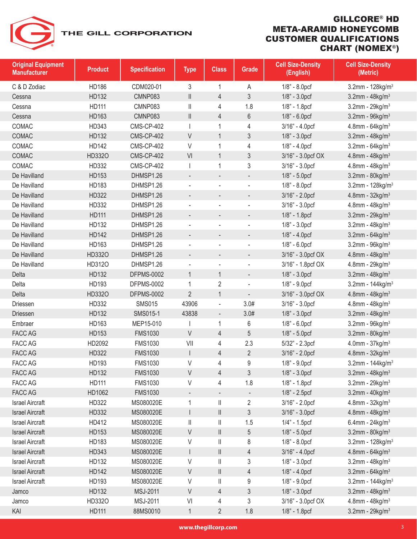| <b>Original Equipment</b><br><b>Manufacturer</b> | <b>Product</b> | <b>Specification</b> | <b>Type</b>                           | <b>Class</b>             | Grade                    | <b>Cell Size-Density</b><br>(English) | <b>Cell Size-Density</b><br>(Metric) |
|--------------------------------------------------|----------------|----------------------|---------------------------------------|--------------------------|--------------------------|---------------------------------------|--------------------------------------|
| C & D Zodiac                                     | <b>HD186</b>   | CDM020-01            | 3                                     | 1                        | A                        | 1/8" - 8.0pcf                         | 3.2mm - $128$ kg/m <sup>3</sup>      |
| Cessna                                           | HD132          | CMNP083              | $\mathop{  }$                         | $\overline{4}$           | 3                        | 1/8" - 3.0pcf                         | $3.2$ mm - $48$ kg/m <sup>3</sup>    |
| Cessna                                           | HD111          | CMNP083              | Ш                                     | 4                        | 1.8                      | 1/8" - 1.8pcf                         | $3.2$ mm - $29$ kg/m <sup>3</sup>    |
| Cessna                                           | HD163          | CMNP083              | $\label{eq:1} \prod_{i=1}^n \alpha_i$ | 4                        | 6                        | $1/8" - 6.0prf$                       | $3.2$ mm - $96$ kg/m <sup>3</sup>    |
| COMAC                                            | HD343          | <b>CMS-CP-402</b>    |                                       | 1                        | 4                        | 3/16" - 4.0pcf                        | 4.8mm - $64$ kg/m <sup>3</sup>       |
| COMAC                                            | HD132          | <b>CMS-CP-402</b>    | V                                     | $\mathbf{1}$             | 3                        | $1/8" - 3.0prf$                       | 3.2mm - $48$ kg/m <sup>3</sup>       |
| COMAC                                            | HD142          | <b>CMS-CP-402</b>    | V                                     | 1                        | 4                        | $1/8" - 4.0prf$                       | $3.2$ mm - $64$ kg/m <sup>3</sup>    |
| COMAC                                            | HD332O         | <b>CMS-CP-402</b>    | VI                                    | $\mathbf{1}$             | 3                        | 3/16" - 3.0pcf OX                     | 4.8mm - $48$ kg/m <sup>3</sup>       |
| COMAC                                            | HD332          | <b>CMS-CP-402</b>    |                                       | 1                        | 3                        | 3/16" - 3.0pcf                        | $4.8$ mm - $48$ kg/m <sup>3</sup>    |
| De Havilland                                     | HD153          | DHMSP1.26            | $\overline{\phantom{a}}$              | $\overline{\phantom{a}}$ | $\overline{\phantom{a}}$ | $1/8" - 5.0prf$                       | $3.2$ mm - $80$ kg/m <sup>3</sup>    |
| De Havilland                                     | HD183          | DHMSP1.26            |                                       |                          | ÷,                       | $1/8" - 8.0prf$                       | 3.2mm - $128$ kg/m <sup>3</sup>      |
| De Havilland                                     | HD322          | DHMSP1.26            | -                                     | $\overline{\phantom{a}}$ | $\overline{\phantom{m}}$ | 3/16" - 2.0pcf                        | 4.8mm - $32$ kg/m <sup>3</sup>       |
| De Havilland                                     | HD332          | DHMSP1.26            |                                       |                          |                          | 3/16" - 3.0pcf                        | $4.8$ mm - $48$ kg/m <sup>3</sup>    |
| De Havilland                                     | <b>HD111</b>   | DHMSP1.26            |                                       |                          |                          | 1/8" - 1.8pcf                         | 3.2mm - $29kg/m3$                    |
| De Havilland                                     | HD132          | DHMSP1.26            | ÷,                                    |                          | $\overline{\phantom{m}}$ | $1/8" - 3.0prf$                       | $3.2$ mm - $48$ kg/m <sup>3</sup>    |
| De Havilland                                     | <b>HD142</b>   | DHMSP1.26            |                                       |                          |                          | $1/8" - 4.0prf$                       | 3.2mm - $64$ kg/m <sup>3</sup>       |
| De Havilland                                     | HD163          | DHMSP1.26            |                                       | $\sim$                   | ÷,                       | $1/8" - 6.0prf$                       | $3.2$ mm - $96$ kg/m <sup>3</sup>    |
| De Havilland                                     | HD332O         | DHMSP1.26            | $\overline{\phantom{0}}$              | $\overline{\phantom{a}}$ | $\overline{a}$           | 3/16" - 3.0pcf OX                     | $4.8$ mm - $48$ kg/m <sup>3</sup>    |
| De Havilland                                     | HD312O         | DHMSP1.26            |                                       | $\overline{\phantom{a}}$ | $\overline{a}$           | 3/16" - 1.8pcf OX                     | $4.8$ mm - 29kg/m <sup>3</sup>       |
| Delta                                            | HD132          | <b>DFPMS-0002</b>    | $\mathbf{1}$                          | 1                        | $\overline{a}$           | $1/8" - 3.0prf$                       | $3.2$ mm - $48$ kg/m <sup>3</sup>    |
| Delta                                            | HD193          | <b>DFPMS-0002</b>    | 1                                     | $\overline{2}$           | $\overline{\phantom{a}}$ | 1/8" - 9.0pcf                         | 3.2mm - $144$ kg/m <sup>3</sup>      |
| Delta                                            | HD332O         | <b>DFPMS-0002</b>    | $\overline{2}$                        | $\mathbf{1}$             | $\overline{\phantom{a}}$ | 3/16" - 3.0pcf OX                     | 4.8mm - $48kg/m3$                    |
| Driessen                                         | HD332          | <b>SMS015</b>        | 43906                                 | $\overline{\phantom{a}}$ | 3.0#                     | 3/16" - 3.0pcf                        | $4.8$ mm - $48$ kg/m <sup>3</sup>    |
| <b>Driessen</b>                                  | HD132          | SMS015-1             | 43838                                 | $\overline{\phantom{a}}$ | 3.0#                     | 1/8" - 3.0pcf                         | 3.2mm - $48$ kg/m <sup>3</sup>       |
| Embraer                                          | HD163          | MEP15-010            |                                       | 1                        | 6                        | $1/8" - 6.0pt$                        | $3.2$ mm - $96$ kg/m $3$             |
| <b>FACC AG</b>                                   | HD153          | <b>FMS1030</b>       | V                                     | 4                        | 5                        | $1/8" - 5.0prf$                       | $3.2$ mm - $80$ kg/m $3$             |
| <b>FACC AG</b>                                   | HD2092         | <b>FMS1030</b>       | VII                                   | 4                        | 2.3                      | 5/32" - 2.3pcf                        | 4.0mm - $37 kg/m3$                   |
| <b>FACC AG</b>                                   | HD322          | <b>FMS1030</b>       |                                       | $\overline{4}$           | $\overline{2}$           | 3/16" - 2.0pcf                        | $4.8$ mm - $32$ kg/m <sup>3</sup>    |
| <b>FACC AG</b>                                   | HD193          | <b>FMS1030</b>       | V                                     | $\overline{4}$           | 9                        | $1/8" - 9.0prf$                       | $3.2$ mm - 144 $kg/m3$               |
| FACC AG                                          | HD132          | <b>FMS1030</b>       | V                                     | 4                        | 3                        | $1/8" - 3.0prf$                       | 3.2mm - $48$ kg/m <sup>3</sup>       |
| FACC AG                                          | HD111          | <b>FMS1030</b>       | V                                     | 4                        | 1.8                      | 1/8" - 1.8pcf                         | $3.2$ mm - $29$ kg/m <sup>3</sup>    |
| FACC AG                                          | HD1062         | <b>FMS1030</b>       |                                       |                          |                          | 1/8" - 2.5pcf                         | $3.2$ mm - $40$ kg/m <sup>3</sup>    |
| <b>Israel Aircraft</b>                           | HD322          | MS080020E            | 1                                     | $\vert\vert$             | $\overline{2}$           | 3/16" - 2.0pcf                        | $4.8$ mm - $32$ kg/m <sup>3</sup>    |
| <b>Israel Aircraft</b>                           | HD332          | MS080020E            |                                       | Ш                        | 3                        | 3/16" - 3.0pcf                        | 4.8mm - $48kg/m3$                    |
| <b>Israel Aircraft</b>                           | HD412          | MS080020E            | Ш                                     | $\mid \mid$              | 1.5                      | $1/4" - 1.5pcf$                       | 6.4mm - $24$ kg/m <sup>3</sup>       |
| <b>Israel Aircraft</b>                           | HD153          | MS080020E            | V                                     | $\vert\vert$             | 5                        | 1/8" - 5.0pcf                         | 3.2mm - $80$ kg/m <sup>3</sup>       |
| <b>Israel Aircraft</b>                           | HD183          | MS080020E            | V                                     | $\vert\vert$             | 8                        | 1/8" - 8.0pcf                         | 3.2mm - 128kg/m <sup>3</sup>         |
| <b>Israel Aircraft</b>                           | HD343          | MS080020E            |                                       | $\vert\vert$             | 4                        | 3/16" - 4.0pcf                        | 4.8mm - $64 \text{kg/m}^3$           |
| <b>Israel Aircraft</b>                           | HD132          | MS080020E            | V                                     | $\vert\vert$             | 3                        | $1/8" - 3.0prf$                       | 3.2mm - $48$ kg/m <sup>3</sup>       |
| <b>Israel Aircraft</b>                           | <b>HD142</b>   | MS080020E            | $\mathsf V$                           | $\vert\vert$             | $\overline{4}$           | $1/8" - 4.0prf$                       | 3.2mm - $64$ kg/m <sup>3</sup>       |
| <b>Israel Aircraft</b>                           | HD193          | MS080020E            | V                                     | $\mid \mid$              | 9                        | $1/8" - 9.0pt$                        | 3.2mm - $144$ kg/m <sup>3</sup>      |
| Jamco                                            | HD132          | <b>MSJ-2011</b>      | V                                     | 4                        | 3                        | 1/8" - 3.0pcf                         | 3.2mm - $48$ kg/m <sup>3</sup>       |
| Jamco                                            | HD332O         | MSJ-2011             | VI                                    | 4                        | 3                        | 3/16" - 3.0pcf OX                     | $4.8$ mm - $48$ kg/m <sup>3</sup>    |
| KAI                                              | <b>HD111</b>   | 88MS0010             | $\mathbf{1}$                          | $\overline{2}$           | 1.8                      | 1/8" - 1.8pcf                         | 3.2mm - $29$ kg/m <sup>3</sup>       |
|                                                  |                |                      |                                       |                          |                          |                                       |                                      |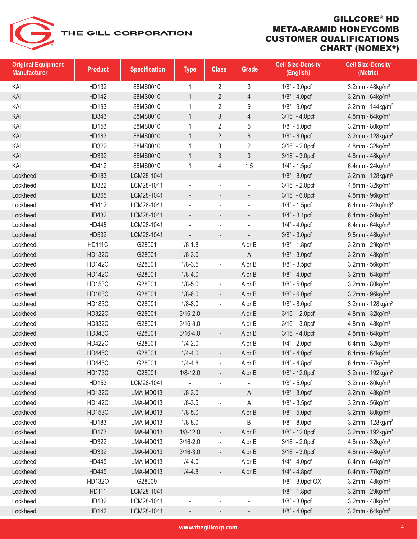

| <b>Original Equipment</b><br><b>Manufacturer</b> | <b>Product</b> | <b>Specification</b> | <b>Type</b>              | <b>Class</b>             | Grade                    | <b>Cell Size-Density</b><br>(English) | <b>Cell Size-Density</b><br>(Metric) |
|--------------------------------------------------|----------------|----------------------|--------------------------|--------------------------|--------------------------|---------------------------------------|--------------------------------------|
| KAI                                              | HD132          | 88MS0010             | 1                        | 2                        | 3                        | $1/8" - 3.0prf$                       | 3.2mm - $48$ kg/m <sup>3</sup>       |
| KAI                                              | <b>HD142</b>   | 88MS0010             | $\mathbf{1}$             | $\overline{2}$           | $\overline{4}$           | 1/8" - 4.0pcf                         | 3.2mm - $64$ kg/m <sup>3</sup>       |
| KAI                                              | HD193          | 88MS0010             | 1                        | $\overline{2}$           | 9                        | $1/8" - 9.0prf$                       | 3.2mm - $144$ kg/m <sup>3</sup>      |
| KAI                                              | HD343          | 88MS0010             | $\mathbf{1}$             | 3                        | 4                        | 3/16" - 4.0pcf                        | 4.8mm - $64$ kg/m <sup>3</sup>       |
| KAI                                              | HD153          | 88MS0010             | 1                        | $\overline{2}$           | 5                        | $1/8" - 5.0prf$                       | 3.2mm - $80$ kg/m <sup>3</sup>       |
| KAI                                              | HD183          | 88MS0010             | $\mathbf{1}$             | $\overline{2}$           | 8                        | $1/8" - 8.0pt$                        | 3.2mm - $128$ kg/m <sup>3</sup>      |
| KAI                                              | HD322          | 88MS0010             | 1                        | 3                        | $\overline{2}$           | 3/16" - 2.0pcf                        | 4.8mm - $32$ kg/m <sup>3</sup>       |
| KAI                                              | HD332          | 88MS0010             | $\mathbf{1}$             | 3                        | 3                        | 3/16" - 3.0pcf                        | $4.8$ mm - $48$ kg/m <sup>3</sup>    |
| KAI                                              | HD412          | 88MS0010             | 1                        | 4                        | 1.5                      | 1/4" - 1.5pcf                         | 6.4mm - $24$ kg/m <sup>3</sup>       |
| Lockheed                                         | HD183          | LCM28-1041           | $\overline{\phantom{a}}$ | $\overline{\phantom{a}}$ | $\overline{\phantom{a}}$ | 1/8" - 8.0pcf                         | 3.2mm - $128$ kg/m <sup>3</sup>      |
| Lockheed                                         | HD322          | LCM28-1041           |                          |                          | $\overline{\phantom{a}}$ | 3/16" - 2.0pcf                        | 4.8mm - $32$ kg/m <sup>3</sup>       |
| Lockheed                                         | HD365          | LCM28-1041           |                          |                          |                          | 3/16" - 6.0pcf                        | $4.8$ mm - $96$ kg/m <sup>3</sup>    |
| Lockheed                                         | HD412          | LCM28-1041           | $\blacksquare$           |                          | $\overline{\phantom{a}}$ | 1/4" - 1.5pcf                         | 6.4mm - $24$ kg/m $33$               |
| Lockheed                                         | HD432          | LCM28-1041           | $\overline{\phantom{a}}$ |                          | $\overline{\phantom{a}}$ | $1/4" - 3.1pcf$                       | 6.4mm - $50$ kg/m <sup>3</sup>       |
| Lockheed                                         | HD445          | LCM28-1041           |                          |                          | ÷,                       | $1/4" - 4.0prf$                       | 6.4mm - $64$ kg/m <sup>3</sup>       |
| Lockheed                                         | HD532          | LCM28-1041           | $\overline{\phantom{m}}$ |                          | $\overline{\phantom{a}}$ | 3/8" - 3.0pcf                         | 9.5mm - $48$ kg/m <sup>3</sup>       |
| Lockheed                                         | <b>HD111C</b>  | G28001               | $1/8 - 1.8$              |                          | A or B                   | 1/8" - 1.8pcf                         | 3.2mm - $29kg/m3$                    |
| Lockheed                                         | <b>HD132C</b>  | G28001               | $1/8 - 3.0$              | $\overline{\phantom{a}}$ | Α                        | $1/8" - 3.0prf$                       | 3.2mm - $48$ kg/m <sup>3</sup>       |
| Lockheed                                         | <b>HD142C</b>  | G28001               | $1/8 - 3.5$              | $\overline{\phantom{a}}$ | A or B                   | $1/8$ " - $3.5$ pcf                   | $3.2$ mm - $56$ kg/m <sup>3</sup>    |
| Lockheed                                         | <b>HD142C</b>  | G28001               | $1/8 - 4.0$              | $\overline{\phantom{a}}$ | A or B                   | 1/8" - 4.0pcf                         | 3.2mm - $64 \text{kg/m}^3$           |
| Lockheed                                         | <b>HD153C</b>  | G28001               | $1/8 - 5.0$              | $\overline{\phantom{a}}$ | A or B                   | $1/8" - 5.0prf$                       | $3.2$ mm - $80$ kg/m <sup>3</sup>    |
| Lockheed                                         | <b>HD163C</b>  | G28001               | $1/8 - 6.0$              | $\overline{\phantom{a}}$ | A or B                   | 1/8" - 6.0pcf                         | $3.2$ mm - $96$ kg/m <sup>3</sup>    |
| Lockheed                                         | <b>HD183C</b>  | G28001               | $1/8 - 8.0$              | $\overline{\phantom{a}}$ | A or B                   | 1/8" - 8.0pcf                         | 3.2mm - $128$ kg/m <sup>3</sup>      |
| Lockheed                                         | <b>HD322C</b>  | G28001               | $3/16 - 2.0$             | $\overline{\phantom{a}}$ | A or B                   | 3/16" - 2.0pcf                        | 4.8mm - $32$ kg/m <sup>3</sup>       |
| Lockheed                                         | <b>HD332C</b>  | G28001               | $3/16 - 3.0$             | $\overline{\phantom{a}}$ | A or B                   | 3/16" - 3.0pcf                        | 4.8mm - $48$ kg/m <sup>3</sup>       |
| Lockheed                                         | <b>HD343C</b>  | G28001               | $3/16 - 4.0$             | $\blacksquare$           | A or B                   | 3/16" - 4.0pcf                        | 4.8mm - $64 \text{kg/m}^3$           |
| Lockheed                                         | <b>HD422C</b>  | G28001               | $1/4 - 2.0$              | $\overline{\phantom{a}}$ | A or B                   | $1/4" - 2.0prf$                       | 6.4mm - $32$ kg/m <sup>3</sup>       |
| Lockheed                                         | <b>HD445C</b>  | G28001               | $1/4 - 4.0$              | $\overline{\phantom{a}}$ | A or B                   | $1/4" - 4.0prf$                       | 6.4mm - $64$ kg/m <sup>3</sup>       |
| Lockheed                                         | <b>HD445C</b>  | G28001               | $1/4 - 4.8$              |                          | A or B                   | 1/4" - 4.8pcf                         | 6.4mm - $77$ kg/m <sup>3</sup>       |
| Lockheed                                         | <b>HD173C</b>  | G28001               | $1/8 - 12.0$             |                          | A or B                   | 1/8" - 12.0pcf                        | 3.2mm - $192$ kg/m <sup>3</sup>      |
| Lockheed                                         | HD153          | LCM28-1041           |                          |                          |                          | $1/8" - 5.0prf$                       | $3.2$ mm - $80$ kg/m <sup>3</sup>    |
| Lockheed                                         | <b>HD132C</b>  | LMA-MD013            | $1/8 - 3.0$              | $\overline{\phantom{a}}$ | A                        | $1/8" - 3.0pt$                        | 3.2mm - $48$ kg/m <sup>3</sup>       |
| Lockheed                                         | <b>HD142C</b>  | LMA-MD013            | $1/8 - 3.5$              | $\overline{\phantom{a}}$ | A                        | $1/8" - 3.5pcf$                       | $3.2$ mm - $56$ kg/m <sup>3</sup>    |
| Lockheed                                         | <b>HD153C</b>  | LMA-MD013            | $1/8 - 5.0$              | $\overline{\phantom{a}}$ | A or B                   | $1/8" - 5.0prf$                       | 3.2mm - $80$ kg/m <sup>3</sup>       |
| Lockheed                                         | HD183          | LMA-MD013            | $1/8 - 8.0$              |                          | B                        | 1/8" - 8.0pcf                         | 3.2mm - $128$ kg/m <sup>3</sup>      |
| Lockheed                                         | HD173          | LMA-MD013            | $1/8 - 12.0$             | ۰                        | A or B                   | 1/8" - 12.0pcf                        | 3.2mm - $192$ kg/m <sup>3</sup>      |
| Lockheed                                         | HD322          | LMA-MD013            | $3/16 - 2.0$             | $\overline{\phantom{a}}$ | A or B                   | 3/16" - 2.0pcf                        | $4.8$ mm - $32$ kg/m <sup>3</sup>    |
| Lockheed                                         | HD332          | LMA-MD013            | $3/16 - 3.0$             | $\overline{\phantom{a}}$ | A or B                   | 3/16" - 3.0pcf                        | 4.8mm - $48$ kg/m <sup>3</sup>       |
| Lockheed                                         | HD445          | LMA-MD013            | $1/4 - 4.0$              | $\overline{\phantom{a}}$ | A or B                   | $1/4" - 4.0prf$                       | 6.4mm - $64$ kg/m <sup>3</sup>       |
| Lockheed                                         | HD445          | LMA-MD013            | $1/4 - 4.8$              | $\overline{\phantom{a}}$ | A or B                   | 1/4" - 4.8pcf                         | 6.4mm - $77$ kg/m <sup>3</sup>       |
| Lockheed                                         | HD1320         | G28009               |                          | $\overline{\phantom{a}}$ |                          | 1/8" - 3.0pcf OX                      | 3.2mm - $48$ kg/m <sup>3</sup>       |
| Lockheed                                         | HD111          | LCM28-1041           | $\overline{\phantom{m}}$ |                          | $\overline{\phantom{m}}$ | 1/8" - 1.8pcf                         | 3.2mm - $29kg/m3$                    |
| Lockheed                                         | HD132          | LCM28-1041           |                          |                          | $\overline{\phantom{0}}$ | $1/8" - 3.0prf$                       | 3.2mm - $48$ kg/m <sup>3</sup>       |
| Lockheed                                         | HD142          | LCM28-1041           | -                        | ۰.                       | $\overline{\phantom{a}}$ | $1/8" - 4.0pt$                        | 3.2mm - $64$ kg/m <sup>3</sup>       |
|                                                  |                |                      |                          |                          |                          |                                       |                                      |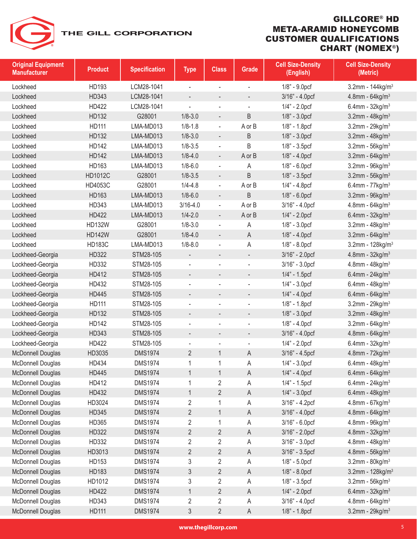| <b>Original Equipment</b><br><b>Manufacturer</b> | <b>Product</b> | <b>Specification</b> | <b>Type</b>              | <b>Class</b>                 | <b>Grade</b>             | <b>Cell Size-Density</b><br>(English) | <b>Cell Size-Density</b><br>(Metric) |
|--------------------------------------------------|----------------|----------------------|--------------------------|------------------------------|--------------------------|---------------------------------------|--------------------------------------|
| Lockheed                                         | HD193          | LCM28-1041           | ÷,                       | $\blacksquare$               | ÷,                       | $1/8" - 9.0prf$                       | 3.2mm - $144$ kg/m <sup>3</sup>      |
| Lockheed                                         | HD343          | LCM28-1041           | $\overline{\phantom{0}}$ | $\overline{\phantom{a}}$     | $\overline{\phantom{a}}$ | 3/16" - 4.0pcf                        | 4.8mm - $64$ kg/m <sup>3</sup>       |
| Lockheed                                         | HD422          | LCM28-1041           |                          |                              |                          | $1/4" - 2.0prf$                       | 6.4mm - $32$ kg/m <sup>3</sup>       |
| Lockheed                                         | HD132          | G28001               | $1/8 - 3.0$              | $\overline{\phantom{a}}$     | B                        | $1/8$ " - $3.0$ pcf                   | 3.2mm - $48$ kg/m <sup>3</sup>       |
| Lockheed                                         | HD111          | LMA-MD013            | $1/8 - 1.8$              | $\overline{\phantom{a}}$     | A or B                   | 1/8" - 1.8pcf                         | $3.2$ mm - $29$ kg/m <sup>3</sup>    |
| Lockheed                                         | HD132          | LMA-MD013            | $1/8 - 3.0$              |                              | B                        | $1/8$ " - $3.0$ pcf                   | 3.2mm - $48$ kg/m <sup>3</sup>       |
| Lockheed                                         | HD142          | LMA-MD013            | $1/8 - 3.5$              | $\overline{\phantom{a}}$     | B                        | $1/8" - 3.5pcf$                       | $3.2$ mm - $56$ kg/m <sup>3</sup>    |
| Lockheed                                         | <b>HD142</b>   | LMA-MD013            | $1/8 - 4.0$              | $\overline{\phantom{a}}$     | A or B                   | $1/8$ " - $4.0$ pcf                   | $3.2$ mm - $64$ kg/m <sup>3</sup>    |
| Lockheed                                         | HD163          | LMA-MD013            | $1/8 - 6.0$              | $\blacksquare$               | Α                        | $1/8$ " - $6.0$ pcf                   | $3.2$ mm - $96$ kg/m <sup>3</sup>    |
| Lockheed                                         | HD1012C        | G28001               | $1/8 - 3.5$              | $\overline{\phantom{a}}$     | B                        | $1/8" - 3.5pcf$                       | $3.2$ mm - $56$ kg/m <sup>3</sup>    |
| Lockheed                                         | HD4053C        | G28001               | $1/4 - 4.8$              | $\overline{\phantom{a}}$     | A or B                   | $1/4" - 4.8pcf$                       | 6.4mm - $77$ kg/m <sup>3</sup>       |
| Lockheed                                         | HD163          | LMA-MD013            | $1/8 - 6.0$              | $\overline{a}$               | B                        | $1/8$ " - 6.0pcf                      | $3.2$ mm - $96$ kg/m <sup>3</sup>    |
| Lockheed                                         | HD343          | LMA-MD013            | $3/16 - 4.0$             | $\overline{\phantom{a}}$     | A or B                   | 3/16" - 4.0pcf                        | $4.8$ mm - $64$ kg/m <sup>3</sup>    |
| Lockheed                                         | <b>HD422</b>   | LMA-MD013            | $1/4 - 2.0$              | $\overline{\phantom{a}}$     | A or B                   | $1/4" - 2.0prf$                       | 6.4mm - $32$ kg/m <sup>3</sup>       |
| Lockheed                                         | <b>HD132W</b>  | G28001               | $1/8 - 3.0$              | ÷,                           | Α                        | $1/8" - 3.0prf$                       | 3.2mm - $48$ kg/m <sup>3</sup>       |
| Lockheed                                         | <b>HD142W</b>  | G28001               | $1/8 - 4.0$              | $\overline{\phantom{a}}$     | Α                        | $1/8$ " - $4.0$ pcf                   | 3.2mm - $64$ kg/m <sup>3</sup>       |
| Lockheed                                         | <b>HD183C</b>  | LMA-MD013            | $1/8 - 8.0$              | ÷,                           | Α                        | 1/8" - 8.0pcf                         | 3.2mm - $128$ kg/m <sup>3</sup>      |
| Lockheed-Georgia                                 | HD322          | STM28-105            |                          | $\qquad \qquad \blacksquare$ | $\blacksquare$           | 3/16" - 2.0pcf                        | 4.8mm - $32$ kg/m <sup>3</sup>       |
| Lockheed-Georgia                                 | HD332          | STM28-105            | $\overline{\phantom{0}}$ | $\blacksquare$               | $\overline{\phantom{a}}$ | 3/16" - 3.0pcf                        | $4.8$ mm - $48$ kg/m <sup>3</sup>    |
| Lockheed-Georgia                                 | HD412          | STM28-105            | $\overline{\phantom{0}}$ |                              | $\overline{\phantom{a}}$ | 1/4" - 1.5pcf                         | 6.4mm - $24$ kg/m <sup>3</sup>       |
| Lockheed-Georgia                                 | HD432          | STM28-105            | ÷,                       | $\overline{a}$               | $\blacksquare$           | $1/4" - 3.0prf$                       | 6.4mm - $48$ kg/m <sup>3</sup>       |
| Lockheed-Georgia                                 | <b>HD445</b>   | STM28-105            | $\overline{\phantom{0}}$ |                              | $\overline{\phantom{a}}$ | $1/4" - 4.0prf$                       | 6.4mm - $64$ kg/m <sup>3</sup>       |
| Lockheed-Georgia                                 | HD111          | STM28-105            |                          |                              | $\blacksquare$           | 1/8" - 1.8pcf                         | $3.2$ mm - $29$ kg/m <sup>3</sup>    |
| Lockheed-Georgia                                 | HD132          | STM28-105            | $\overline{\phantom{0}}$ |                              |                          | $1/8$ " - $3.0$ pcf                   | 3.2mm - $48$ kg/m <sup>3</sup>       |
| Lockheed-Georgia                                 | HD142          | STM28-105            |                          |                              | ÷,                       | $1/8" - 4.0prf$                       | $3.2$ mm - $64$ kg/m <sup>3</sup>    |
| Lockheed-Georgia                                 | HD343          | STM28-105            | $\overline{\phantom{a}}$ | $\overline{\phantom{a}}$     | $\overline{\phantom{a}}$ | 3/16" - 4.0pcf                        | 4.8mm - $64$ kg/m <sup>3</sup>       |
| Lockheed-Georgia                                 | HD422          | STM28-105            | $\overline{\phantom{0}}$ |                              | $\overline{\phantom{a}}$ | $1/4" - 2.0prf$                       | 6.4mm - $32$ kg/m <sup>3</sup>       |
| McDonnell Douglas                                | HD3035         | <b>DMS1974</b>       | $\overline{2}$           | $\mathbf{1}$                 | Α                        | 3/16" - 4.5pcf                        | 4.8mm - $72$ kg/m <sup>3</sup>       |
| McDonnell Douglas                                | HD434          | <b>DMS1974</b>       | 1                        | $\mathbf 1$                  | Α                        | $1/4" - 3.0prf$                       | 6.4mm - $48$ kg/m <sup>3</sup>       |
| McDonnell Douglas                                | <b>HD445</b>   | <b>DMS1974</b>       | 1                        | $\mathbf{1}$                 | Α                        | $1/4" - 4.0prf$                       | 6.4mm - $64$ kg/m <sup>3</sup>       |
| McDonnell Douglas                                | HD412          | <b>DMS1974</b>       | 1                        | $\overline{2}$               | Α                        | 1/4" - 1.5pcf                         | 6.4mm - $24$ kg/m <sup>3</sup>       |
| McDonnell Douglas                                | HD432          | <b>DMS1974</b>       | $\mathbf{1}$             | $\overline{2}$               | A                        | $1/4" - 3.0prf$                       | 6.4mm - $48$ kg/m <sup>3</sup>       |
| McDonnell Douglas                                | HD3024         | <b>DMS1974</b>       | 2                        | 1                            | Α                        | 3/16" - 4.2pcf                        | $4.8$ mm - 67kg/m <sup>3</sup>       |
| McDonnell Douglas                                | HD345          | <b>DMS1974</b>       | $\overline{2}$           | $\mathbf{1}$                 | Α                        | 3/16" - 4.0pcf                        | 4.8mm - $64$ kg/m <sup>3</sup>       |
| McDonnell Douglas                                | HD365          | <b>DMS1974</b>       | 2                        | 1                            | Α                        | 3/16" - 6.0pcf                        | $4.8$ mm - $96$ kg/m <sup>3</sup>    |
| McDonnell Douglas                                | HD322          | <b>DMS1974</b>       | $\overline{2}$           | $\overline{2}$               | A                        | 3/16" - 2.0pcf                        | 4.8mm - $32$ kg/m <sup>3</sup>       |
| McDonnell Douglas                                | HD332          | <b>DMS1974</b>       | $\overline{2}$           | 2                            | Α                        | 3/16" - 3.0pcf                        | $4.8$ mm - $48$ kg/m <sup>3</sup>    |
| McDonnell Douglas                                | HD3013         | <b>DMS1974</b>       | $\overline{2}$           | 2                            | Α                        | 3/16" - 3.5pcf                        | $4.8$ mm - 56kg/m <sup>3</sup>       |
| McDonnell Douglas                                | HD153          | <b>DMS1974</b>       | 3                        | $\overline{\mathbf{c}}$      | Α                        | $1/8$ " - $5.0$ pcf                   | $3.2$ mm - $80$ kg/m $3$             |
| McDonnell Douglas                                | HD183          | <b>DMS1974</b>       | 3                        | $\overline{2}$               | Α                        | 1/8" - 8.0pcf                         | 3.2mm - $128$ kg/m <sup>3</sup>      |
| McDonnell Douglas                                | HD1012         | <b>DMS1974</b>       | 3                        | $\overline{2}$               | Α                        | $1/8$ " - $3.5$ pcf                   | $3.2$ mm - $56$ kg/m <sup>3</sup>    |
| McDonnell Douglas                                | HD422          | <b>DMS1974</b>       | $\mathbf{1}$             | $\overline{2}$               | A                        | $1/4" - 2.0prf$                       | 6.4mm - $32$ kg/m <sup>3</sup>       |
| McDonnell Douglas                                | HD343          | <b>DMS1974</b>       | $\overline{2}$           | 2                            | Α                        | 3/16" - 4.0pcf                        | 4.8mm - $64$ kg/m <sup>3</sup>       |
| McDonnell Douglas                                | HD111          | <b>DMS1974</b>       | 3                        | $\overline{2}$               | A                        | 1/8" - 1.8pcf                         | 3.2mm - $29$ kg/m <sup>3</sup>       |